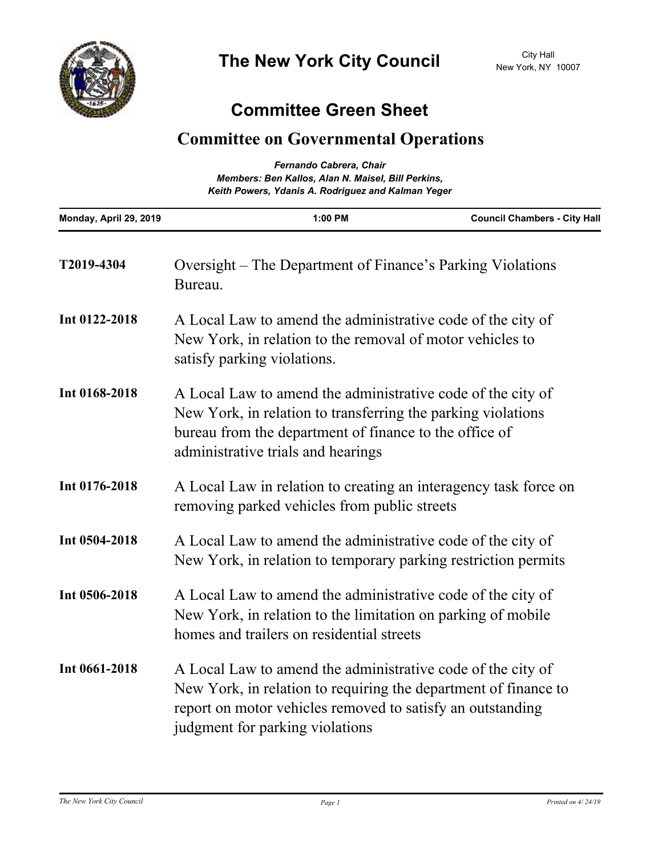## **Committee Green Sheet**

## **Committee on Governmental Operations**

| Fernando Cabrera, Chair<br>Members: Ben Kallos, Alan N. Maisel, Bill Perkins,<br>Keith Powers, Ydanis A. Rodriguez and Kalman Yeger |                                                                                                                                                                                                                                 |                                     |
|-------------------------------------------------------------------------------------------------------------------------------------|---------------------------------------------------------------------------------------------------------------------------------------------------------------------------------------------------------------------------------|-------------------------------------|
| Monday, April 29, 2019                                                                                                              | 1:00 PM                                                                                                                                                                                                                         | <b>Council Chambers - City Hall</b> |
| T2019-4304                                                                                                                          | Oversight – The Department of Finance's Parking Violations<br>Bureau.                                                                                                                                                           |                                     |
| Int 0122-2018                                                                                                                       | A Local Law to amend the administrative code of the city of<br>New York, in relation to the removal of motor vehicles to<br>satisfy parking violations.                                                                         |                                     |
| Int 0168-2018                                                                                                                       | A Local Law to amend the administrative code of the city of<br>New York, in relation to transferring the parking violations<br>bureau from the department of finance to the office of<br>administrative trials and hearings     |                                     |
| Int 0176-2018                                                                                                                       | A Local Law in relation to creating an interagency task force on<br>removing parked vehicles from public streets                                                                                                                |                                     |
| Int 0504-2018                                                                                                                       | A Local Law to amend the administrative code of the city of<br>New York, in relation to temporary parking restriction permits                                                                                                   |                                     |
| Int 0506-2018                                                                                                                       | A Local Law to amend the administrative code of the city of<br>New York, in relation to the limitation on parking of mobile<br>homes and trailers on residential streets                                                        |                                     |
| Int 0661-2018                                                                                                                       | A Local Law to amend the administrative code of the city of<br>New York, in relation to requiring the department of finance to<br>report on motor vehicles removed to satisfy an outstanding<br>judgment for parking violations |                                     |